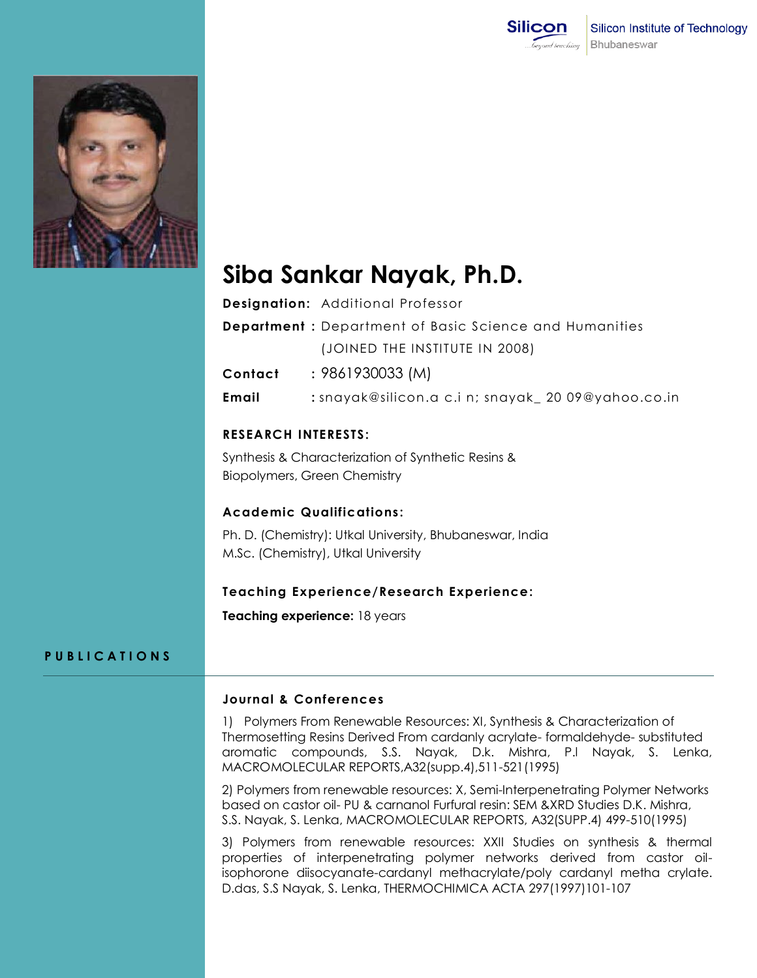



# **Siba Sankar Nayak, Ph.D.**

| <b>Designation:</b> Additional Professor                       |
|----------------------------------------------------------------|
| <b>Department</b> : Department of Basic Science and Humanities |
| (JOINED THE INSTITUTE IN 2008)                                 |

**Contact :** 9861930033 (M)

**Email :** snayak@silicon.a c.i n; snayak\_ 20 09@yahoo.co.in

# **RESEARCH INTERESTS:**

Synthesis & Characterization of Synthetic Resins & Biopolymers, Green Chemistry

# **Academic Qualifications :**

Ph. D. (Chemistry): Utkal University, Bhubaneswar, India M.Sc. (Chemistry), Utkal University

## **Teaching Experience/Research Experience:**

**Teaching experience:** 18 years

## **P U B L I C A T I O N S**

#### **Journal & Conferences**

1) Polymers From Renewable Resources: XI, Synthesis & Characterization of Thermosetting Resins Derived From cardanly acrylate- formaldehyde- substituted aromatic compounds, S.S. Nayak, D.k. Mishra, P.l Nayak, S. Lenka, MACROMOLECULAR REPORTS,A32(supp.4),511-521(1995)

2) Polymers from renewable resources: X, Semi-Interpenetrating Polymer Networks based on castor oil- PU & carnanol Furfural resin: SEM &XRD Studies D.K. Mishra, S.S. Nayak, S. Lenka, MACROMOLECULAR REPORTS, A32(SUPP.4) 499-510(1995)

3) Polymers from renewable resources: XXII Studies on synthesis & thermal properties of interpenetrating polymer networks derived from castor oilisophorone diisocyanate-cardanyl methacrylate/poly cardanyl metha crylate. D.das, S.S Nayak, S. Lenka, THERMOCHIMICA ACTA 297(1997)101-107